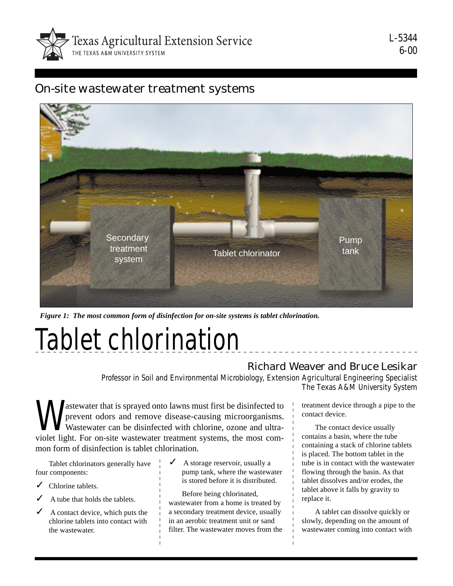

L-5344 6-00

### On-site wastewater treatment systems



*Figure 1: The most common form of disinfection for on-site systems is tablet chlorination.*

# Tablet chlorination

#### Richard Weaver and Bruce Lesikar

Professor in Soil and Environmental Microbiology, Extension Agricultural Engineering Specialist The Texas A&M University System

astewater that is sprayed onto lawns must first be disinfected to<br>prevent odors and remove disease-causing microorganisms.<br>Wastewater can be disinfected with chlorine, ozone and ultra-<br>violet light. For on site wastewater prevent odors and remove disease-causing microorganisms. Wastewater can be disinfected with chlorine, ozone and ultraviolet light. For on-site wastewater treatment systems, the most common form of disinfection is tablet chlorination.

Tablet chlorinators generally have four components:

- $\checkmark$  Chlorine tablets.
- A tube that holds the tablets.
- A contact device, which puts the chlorine tablets into contact with the wastewater.
- A storage reservoir, usually a pump tank, where the wastewater is stored before it is distributed.

Before being chlorinated, wastewater from a home is treated by a secondary treatment device, usually in an aerobic treatment unit or sand filter. The wastewater moves from the treatment device through a pipe to the contact device.

The contact device usually contains a basin, where the tube containing a stack of chlorine tablets is placed. The bottom tablet in the tube is in contact with the wastewater flowing through the basin. As that tablet dissolves and/or erodes, the tablet above it falls by gravity to replace it.

A tablet can dissolve quickly or slowly, depending on the amount of wastewater coming into contact with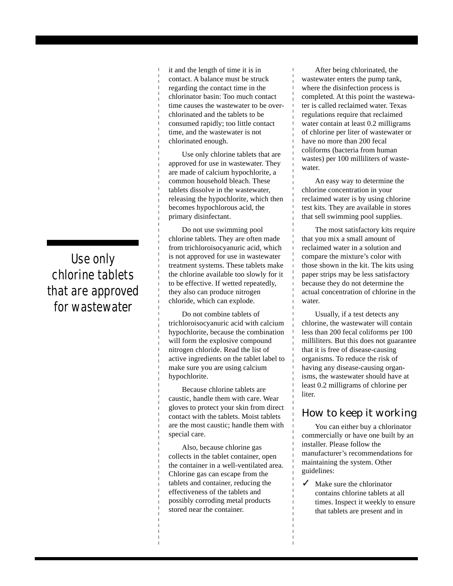## Use only chlorine tablets that are approved for wastewater

it and the length of time it is in contact. A balance must be struck regarding the contact time in the chlorinator basin: Too much contact time causes the wastewater to be overchlorinated and the tablets to be consumed rapidly; too little contact time, and the wastewater is not chlorinated enough.

Use only chlorine tablets that are approved for use in wastewater. They are made of calcium hypochlorite, a common household bleach. These tablets dissolve in the wastewater, releasing the hypochlorite, which then becomes hypochlorous acid, the primary disinfectant.

Do not use swimming pool chlorine tablets. They are often made from trichloroisocyanuric acid, which is not approved for use in wastewater treatment systems. These tablets make the chlorine available too slowly for it to be effective. If wetted repeatedly, they also can produce nitrogen chloride, which can explode.

Do not combine tablets of trichloroisocyanuric acid with calcium hypochlorite, because the combination will form the explosive compound nitrogen chloride. Read the list of active ingredients on the tablet label to make sure you are using calcium hypochlorite.

Because chlorine tablets are caustic, handle them with care. Wear gloves to protect your skin from direct contact with the tablets. Moist tablets are the most caustic; handle them with special care.

Also, because chlorine gas collects in the tablet container, open the container in a well-ventilated area. Chlorine gas can escape from the tablets and container, reducing the effectiveness of the tablets and possibly corroding metal products stored near the container.

After being chlorinated, the wastewater enters the pump tank, where the disinfection process is completed. At this point the wastewater is called reclaimed water. Texas regulations require that reclaimed water contain at least 0.2 milligrams of chlorine per liter of wastewater or have no more than 200 fecal coliforms (bacteria from human wastes) per 100 milliliters of wastewater.

An easy way to determine the chlorine concentration in your reclaimed water is by using chlorine test kits. They are available in stores that sell swimming pool supplies.

The most satisfactory kits require that you mix a small amount of reclaimed water in a solution and compare the mixture's color with those shown in the kit. The kits using paper strips may be less satisfactory because they do not determine the actual concentration of chlorine in the water.

Usually, if a test detects any chlorine, the wastewater will contain less than 200 fecal coliforms per 100 milliliters. But this does not guarantee that it is free of disease-causing organisms. To reduce the risk of having any disease-causing organisms, the wastewater should have at least 0.2 milligrams of chlorine per liter.

#### How to keep it working

You can either buy a chlorinator commercially or have one built by an installer. Please follow the manufacturer's recommendations for maintaining the system. Other guidelines:

 $\sqrt{\phantom{a}}$  Make sure the chlorinator contains chlorine tablets at all times. Inspect it weekly to ensure that tablets are present and in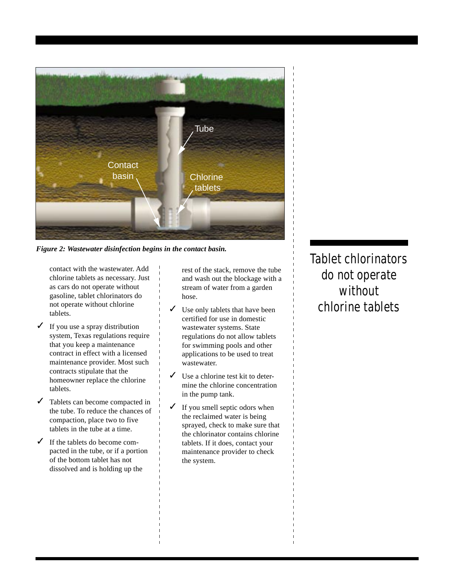

*Figure 2: Wastewater disinfection begins in the contact basin.*

contact with the wastewater. Add chlorine tablets as necessary. Just as cars do not operate without gasoline, tablet chlorinators do not operate without chlorine tablets.

- $\checkmark$  If you use a spray distribution system, Texas regulations require that you keep a maintenance contract in effect with a licensed maintenance provider. Most such contracts stipulate that the homeowner replace the chlorine tablets.
- $\checkmark$  Tablets can become compacted in the tube. To reduce the chances of compaction, place two to five tablets in the tube at a time.
- $\checkmark$  If the tablets do become compacted in the tube, or if a portion of the bottom tablet has not dissolved and is holding up the

rest of the stack, remove the tube and wash out the blockage with a stream of water from a garden hose.

- $\checkmark$  Use only tablets that have been certified for use in domestic wastewater systems. State regulations do not allow tablets for swimming pools and other applications to be used to treat wastewater.
- $\checkmark$  Use a chlorine test kit to determine the chlorine concentration in the pump tank.
- $\checkmark$  If you smell septic odors when the reclaimed water is being sprayed, check to make sure that the chlorinator contains chlorine tablets. If it does, contact your maintenance provider to check the system.

Tablet chlorinators do not operate without chlorine tablets